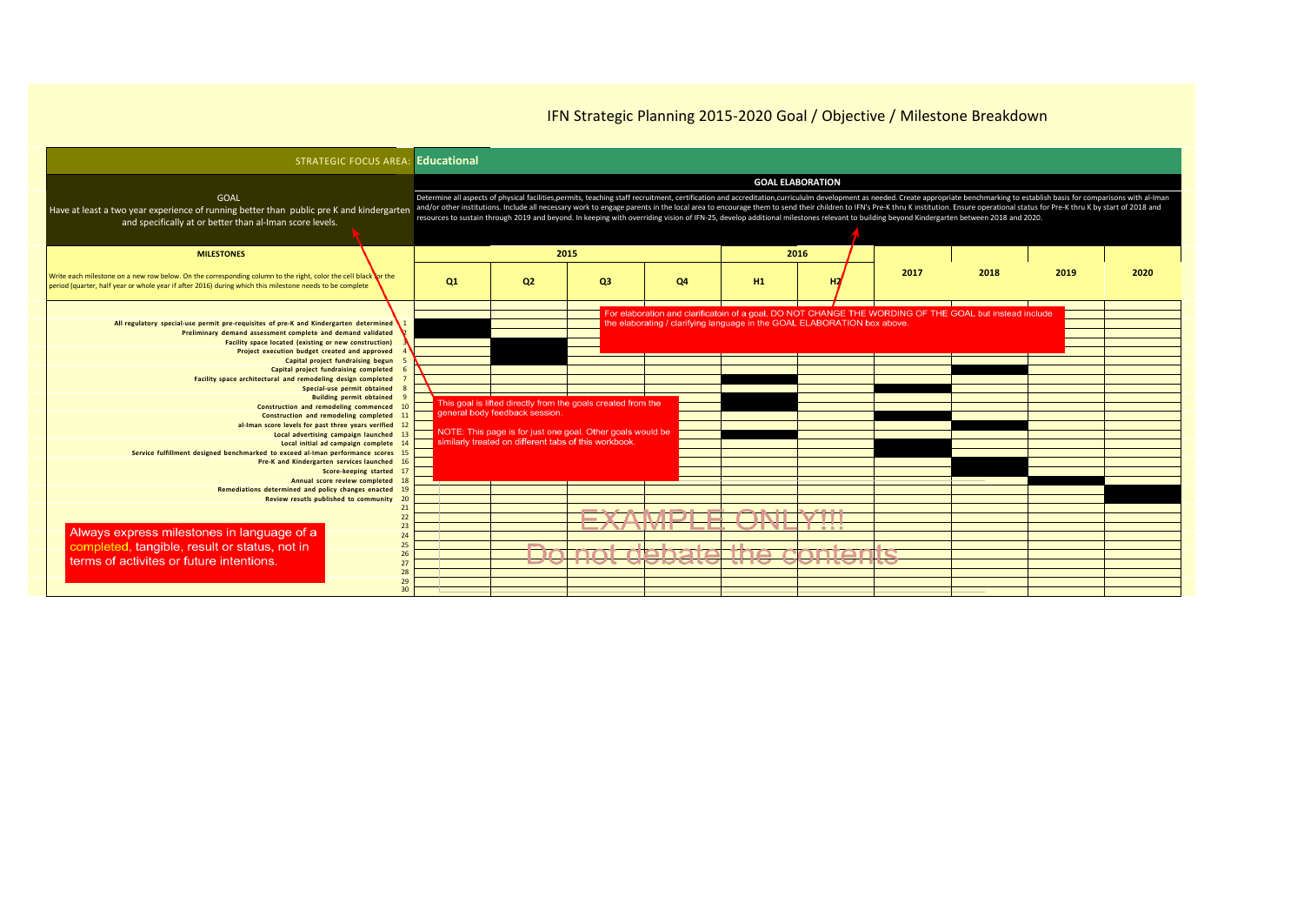| <b>STRATEGIC FOCUS AREA: Educational</b>                                                                                                                                                                                                                                                                                                                                                                                                                                       |    |                                                                                                                                                                                                                       |                   |                                                                                                                                                                                                                                                                                                                                                                                                                                                                                                                                                                                                                                                              |     |                         |      |      |      |      |
|--------------------------------------------------------------------------------------------------------------------------------------------------------------------------------------------------------------------------------------------------------------------------------------------------------------------------------------------------------------------------------------------------------------------------------------------------------------------------------|----|-----------------------------------------------------------------------------------------------------------------------------------------------------------------------------------------------------------------------|-------------------|--------------------------------------------------------------------------------------------------------------------------------------------------------------------------------------------------------------------------------------------------------------------------------------------------------------------------------------------------------------------------------------------------------------------------------------------------------------------------------------------------------------------------------------------------------------------------------------------------------------------------------------------------------------|-----|-------------------------|------|------|------|------|
| <b>GOAL</b><br>Have at least a two year experience of running better than public pre K and kindergarten<br>and specifically at or better than al-Iman score levels.                                                                                                                                                                                                                                                                                                            |    |                                                                                                                                                                                                                       |                   | Determine all aspects of physical facilities, permits, teaching staff recruitment, certification and accreditation, curricululm development as needed. Create appropriate benchmarking to establish basis for comparisons with<br>and/or other institutions. Include all necessary work to engage parents in the local area to encourage them to send their children to IFN's Pre-K thru K institution. Ensure operational status for Pre-K thru K by start of 2<br>resources to sustain through 2019 and beyond. In keeping with overriding vision of IFN-25, develop additional milestones relevant to building beyond Kindergarten between 2018 and 2020. |     | <b>GOAL ELABORATION</b> |      |      |      |      |
| <b>MILESTONES</b>                                                                                                                                                                                                                                                                                                                                                                                                                                                              |    | 2015                                                                                                                                                                                                                  |                   |                                                                                                                                                                                                                                                                                                                                                                                                                                                                                                                                                                                                                                                              |     | 2016                    |      |      |      |      |
| Write each milestone on a new row below. On the corresponding column to the right, color the cell black or the<br>period (quarter, half year or whole year if after 2016) during which this milestone needs to be complete                                                                                                                                                                                                                                                     | Q1 | Q <sub>2</sub>                                                                                                                                                                                                        | <b>Q3</b>         | Q4                                                                                                                                                                                                                                                                                                                                                                                                                                                                                                                                                                                                                                                           | H1  |                         | 2017 | 2018 | 2019 | 2020 |
| All regulatory special-use permit pre-requisites of pre-K and Kindergarten determined<br>Preliminary demand assessment complete and demand validated<br>Facility space located (existing or new construction)<br>Project execution budget created and approved<br>Capital project fundraising begun<br>Capital project fundraising completed<br>Facility space architectural and remodeling design completed<br>Special-use permit obtained<br><b>Building permit obtained</b> |    |                                                                                                                                                                                                                       |                   | For elaboration and clarificatoin of a goal, DO NOT CHANGE THE WORDING OF THE GOAL but instead include<br>the elaborating / clarifying language in the GOAL ELABORATION box above.                                                                                                                                                                                                                                                                                                                                                                                                                                                                           |     |                         |      |      |      |      |
| Construction and remodeling commenced 10<br>Construction and remodeling completed 11<br>al-Iman score levels for past three years verified 12<br>Local advertising campaign launched 13<br>Local initial ad campaign complete 14<br>Service fulfillment designed benchmarked to exceed al-Iman performance scores 15<br>Pre-K and Kindergarten services launched 16<br>Score-keeping started 17<br>Annual score review completed 18                                            |    | This goal is lifted directly from the goals created from the<br>general body feedback session.<br>NOTE: This page is for just one goal. Other goals would be<br>similarly treated on different tabs of this workbook. |                   |                                                                                                                                                                                                                                                                                                                                                                                                                                                                                                                                                                                                                                                              |     |                         |      |      |      |      |
| Remediations determined and policy changes enacted 19<br>Review resutls published to community 20<br>21                                                                                                                                                                                                                                                                                                                                                                        |    |                                                                                                                                                                                                                       |                   |                                                                                                                                                                                                                                                                                                                                                                                                                                                                                                                                                                                                                                                              |     |                         |      |      |      |      |
| 22<br>23<br>Always express milestones in language of a<br>24<br>completed, tangible, result or status, not in<br>25<br>26<br>terms of activites or future intentions.<br>27<br>28<br>29<br>30                                                                                                                                                                                                                                                                                  |    |                                                                                                                                                                                                                       | not<br><b>TOT</b> | CANATA<br>TO OTC                                                                                                                                                                                                                                                                                                                                                                                                                                                                                                                                                                                                                                             | тпо | זבחר                    |      |      |      |      |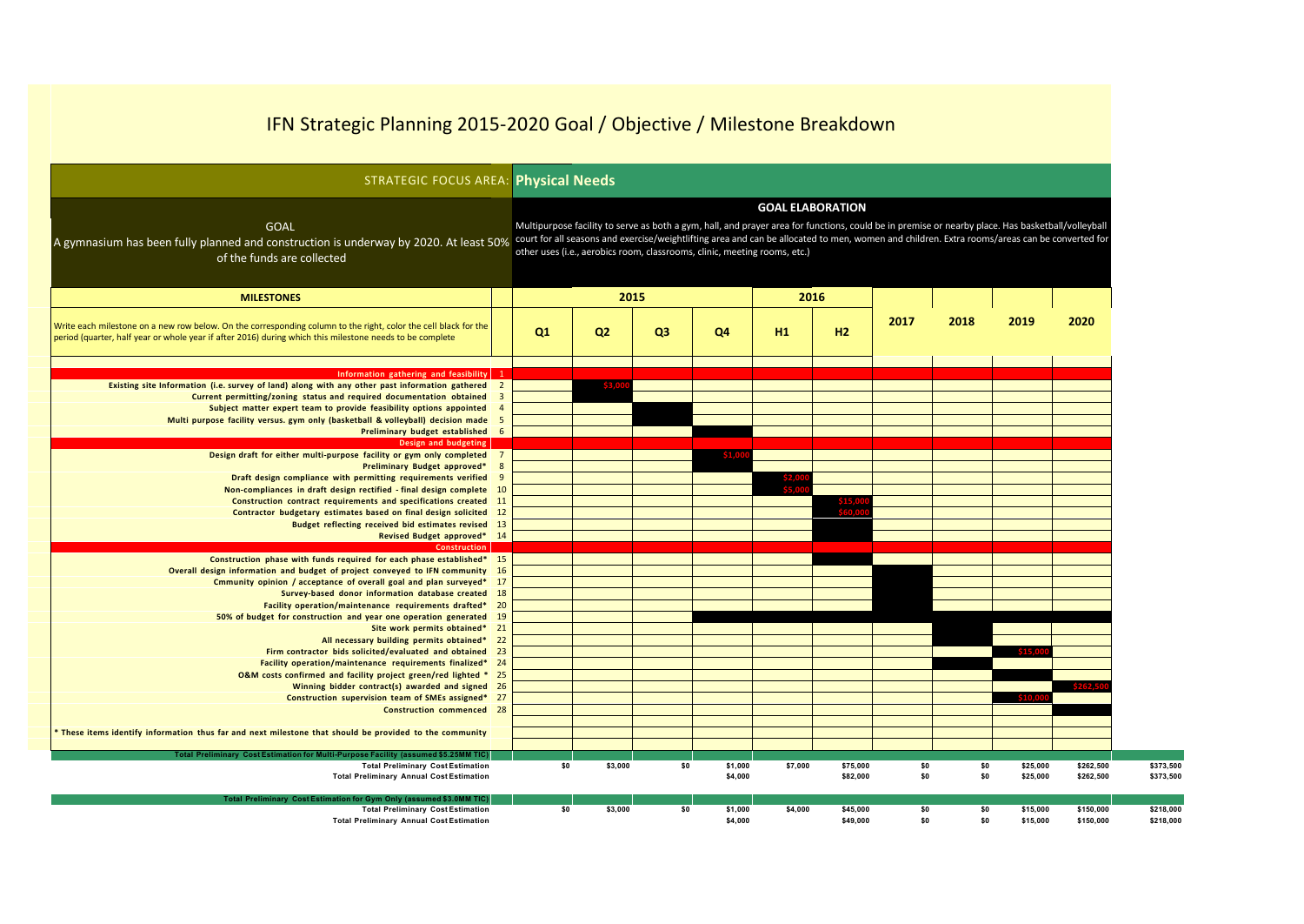| <b>STRATEGIC FOCUS AREA: Physical Needs</b>                                                                                                                                                                                 |                         |                                                                                                                                                                                                                                                                                                                                                                                 |                |                |                |         |          |      |      |          |           |  |  |
|-----------------------------------------------------------------------------------------------------------------------------------------------------------------------------------------------------------------------------|-------------------------|---------------------------------------------------------------------------------------------------------------------------------------------------------------------------------------------------------------------------------------------------------------------------------------------------------------------------------------------------------------------------------|----------------|----------------|----------------|---------|----------|------|------|----------|-----------|--|--|
|                                                                                                                                                                                                                             |                         | <b>GOAL ELABORATION</b>                                                                                                                                                                                                                                                                                                                                                         |                |                |                |         |          |      |      |          |           |  |  |
| <b>GOAL</b><br>A gymnasium has been fully planned and construction is underway by 2020. At least 50%<br>of the funds are collected                                                                                          |                         | Multipurpose facility to serve as both a gym, hall, and prayer area for functions, could be in premise or nearby place. Has basketball/volleyball<br>court for all seasons and exercise/weightlifting area and can be allocated to men, women and children. Extra rooms/areas can be converted for<br>other uses (i.e., aerobics room, classrooms, clinic, meeting rooms, etc.) |                |                |                |         |          |      |      |          |           |  |  |
| <b>MILESTONES</b>                                                                                                                                                                                                           |                         | 2015                                                                                                                                                                                                                                                                                                                                                                            |                |                |                | 2016    |          |      |      |          |           |  |  |
| Write each milestone on a new row below. On the corresponding column to the right, color the cell black for the<br>period (quarter, half year or whole year if after 2016) during which this milestone needs to be complete |                         | Q1                                                                                                                                                                                                                                                                                                                                                                              | Q <sub>2</sub> | Q <sub>3</sub> | Q <sub>4</sub> | H1      | H2       | 2017 | 2018 | 2019     | 2020      |  |  |
| Information gathering and feasibility 1                                                                                                                                                                                     |                         |                                                                                                                                                                                                                                                                                                                                                                                 |                |                |                |         |          |      |      |          |           |  |  |
| Existing site Information (i.e. survey of land) along with any other past information gathered 2                                                                                                                            |                         |                                                                                                                                                                                                                                                                                                                                                                                 |                |                |                |         |          |      |      |          |           |  |  |
| Current permitting/zoning status and required documentation obtained                                                                                                                                                        | $\overline{\mathbf{3}}$ |                                                                                                                                                                                                                                                                                                                                                                                 |                |                |                |         |          |      |      |          |           |  |  |
| Subject matter expert team to provide feasibility options appointed 4                                                                                                                                                       |                         |                                                                                                                                                                                                                                                                                                                                                                                 |                |                |                |         |          |      |      |          |           |  |  |
| Multi purpose facility versus. gym only (basketball & volleyball) decision made 5                                                                                                                                           |                         |                                                                                                                                                                                                                                                                                                                                                                                 |                |                |                |         |          |      |      |          |           |  |  |
| Preliminary budget established 6                                                                                                                                                                                            |                         |                                                                                                                                                                                                                                                                                                                                                                                 |                |                |                |         |          |      |      |          |           |  |  |
| Design and budgeting                                                                                                                                                                                                        |                         |                                                                                                                                                                                                                                                                                                                                                                                 |                |                |                |         |          |      |      |          |           |  |  |
| Design draft for either multi-purpose facility or gym only completed 7                                                                                                                                                      |                         |                                                                                                                                                                                                                                                                                                                                                                                 |                |                |                |         |          |      |      |          |           |  |  |
| Preliminary Budget approved*                                                                                                                                                                                                | 8                       |                                                                                                                                                                                                                                                                                                                                                                                 |                |                |                |         |          |      |      |          |           |  |  |
| Draft design compliance with permitting requirements verified                                                                                                                                                               | 9                       |                                                                                                                                                                                                                                                                                                                                                                                 |                |                |                |         |          |      |      |          |           |  |  |
| Non-compliances in draft design rectified - final design complete 10                                                                                                                                                        |                         |                                                                                                                                                                                                                                                                                                                                                                                 |                |                |                |         |          |      |      |          |           |  |  |
| Construction contract requirements and specifications created 11                                                                                                                                                            |                         |                                                                                                                                                                                                                                                                                                                                                                                 |                |                |                |         |          |      |      |          |           |  |  |
| Contractor budgetary estimates based on final design solicited 12                                                                                                                                                           |                         |                                                                                                                                                                                                                                                                                                                                                                                 |                |                |                |         |          |      |      |          |           |  |  |
| Budget reflecting received bid estimates revised 13                                                                                                                                                                         |                         |                                                                                                                                                                                                                                                                                                                                                                                 |                |                |                |         |          |      |      |          |           |  |  |
| Revised Budget approved* 14                                                                                                                                                                                                 |                         |                                                                                                                                                                                                                                                                                                                                                                                 |                |                |                |         |          |      |      |          |           |  |  |
| <b>Construction</b>                                                                                                                                                                                                         |                         |                                                                                                                                                                                                                                                                                                                                                                                 |                |                |                |         |          |      |      |          |           |  |  |
| Construction phase with funds required for each phase established* 15                                                                                                                                                       |                         |                                                                                                                                                                                                                                                                                                                                                                                 |                |                |                |         |          |      |      |          |           |  |  |
| Overall design information and budget of project conveyed to IFN community 16<br>Cmmunity opinion / acceptance of overall goal and plan surveyed* 17                                                                        |                         |                                                                                                                                                                                                                                                                                                                                                                                 |                |                |                |         |          |      |      |          |           |  |  |
| Survey-based donor information database created 18                                                                                                                                                                          |                         |                                                                                                                                                                                                                                                                                                                                                                                 |                |                |                |         |          |      |      |          |           |  |  |
| Facility operation/maintenance requirements drafted* 20                                                                                                                                                                     |                         |                                                                                                                                                                                                                                                                                                                                                                                 |                |                |                |         |          |      |      |          |           |  |  |
| 50% of budget for construction and year one operation generated 19                                                                                                                                                          |                         |                                                                                                                                                                                                                                                                                                                                                                                 |                |                |                |         |          |      |      |          |           |  |  |
| Site work permits obtained* 21                                                                                                                                                                                              |                         |                                                                                                                                                                                                                                                                                                                                                                                 |                |                |                |         |          |      |      |          |           |  |  |
| All necessary building permits obtained*                                                                                                                                                                                    | 22                      |                                                                                                                                                                                                                                                                                                                                                                                 |                |                |                |         |          |      |      |          |           |  |  |
| Firm contractor bids solicited/evaluated and obtained 23                                                                                                                                                                    |                         |                                                                                                                                                                                                                                                                                                                                                                                 |                |                |                |         |          |      |      |          |           |  |  |
| Facility operation/maintenance requirements finalized* 24                                                                                                                                                                   |                         |                                                                                                                                                                                                                                                                                                                                                                                 |                |                |                |         |          |      |      |          |           |  |  |
| O&M costs confirmed and facility project green/red lighted * 25                                                                                                                                                             |                         |                                                                                                                                                                                                                                                                                                                                                                                 |                |                |                |         |          |      |      |          |           |  |  |
| Winning bidder contract(s) awarded and signed 26                                                                                                                                                                            |                         |                                                                                                                                                                                                                                                                                                                                                                                 |                |                |                |         |          |      |      |          | \$262.5   |  |  |
| Construction supervision team of SMEs assigned* 27                                                                                                                                                                          |                         |                                                                                                                                                                                                                                                                                                                                                                                 |                |                |                |         |          |      |      |          |           |  |  |
| <b>Construction commenced 28</b>                                                                                                                                                                                            |                         |                                                                                                                                                                                                                                                                                                                                                                                 |                |                |                |         |          |      |      |          |           |  |  |
|                                                                                                                                                                                                                             |                         |                                                                                                                                                                                                                                                                                                                                                                                 |                |                |                |         |          |      |      |          |           |  |  |
| * These items identify information thus far and next milestone that should be provided to the community                                                                                                                     |                         |                                                                                                                                                                                                                                                                                                                                                                                 |                |                |                |         |          |      |      |          |           |  |  |
| Total Preliminary Cost Estimation for Multi-Purpose Facility (assumed \$5.25MM TIC)                                                                                                                                         |                         |                                                                                                                                                                                                                                                                                                                                                                                 |                |                |                |         |          |      |      |          |           |  |  |
| <b>Total Preliminary Cost Estimation</b>                                                                                                                                                                                    |                         | \$0                                                                                                                                                                                                                                                                                                                                                                             | \$3,000        | \$0            | \$1,000        | \$7,000 | \$75,000 | \$0  | \$0  | \$25,000 | \$262,500 |  |  |
| <b>Total Preliminary Annual Cost Estimation</b>                                                                                                                                                                             |                         |                                                                                                                                                                                                                                                                                                                                                                                 |                |                | \$4,000        |         | \$82,000 | \$0  | \$0  | \$25,000 | \$262,500 |  |  |
|                                                                                                                                                                                                                             |                         |                                                                                                                                                                                                                                                                                                                                                                                 |                |                |                |         |          |      |      |          |           |  |  |
| Total Preliminary Cost Estimation for Gym Only (assumed \$3.0MM TIC)                                                                                                                                                        |                         |                                                                                                                                                                                                                                                                                                                                                                                 |                |                |                |         |          |      |      |          |           |  |  |
| <b>Total Preliminary Cost Estimation</b>                                                                                                                                                                                    |                         | \$0                                                                                                                                                                                                                                                                                                                                                                             | \$3,000        | \$0            | \$1,000        | \$4,000 | \$45,000 | \$O  | \$0  | \$15,000 | \$150,000 |  |  |
| <b>Total Preliminary Annual Cost Estimation</b>                                                                                                                                                                             |                         |                                                                                                                                                                                                                                                                                                                                                                                 |                |                | \$4.000        |         | \$49.000 | \$0  | \$0  | \$15,000 | \$150,000 |  |  |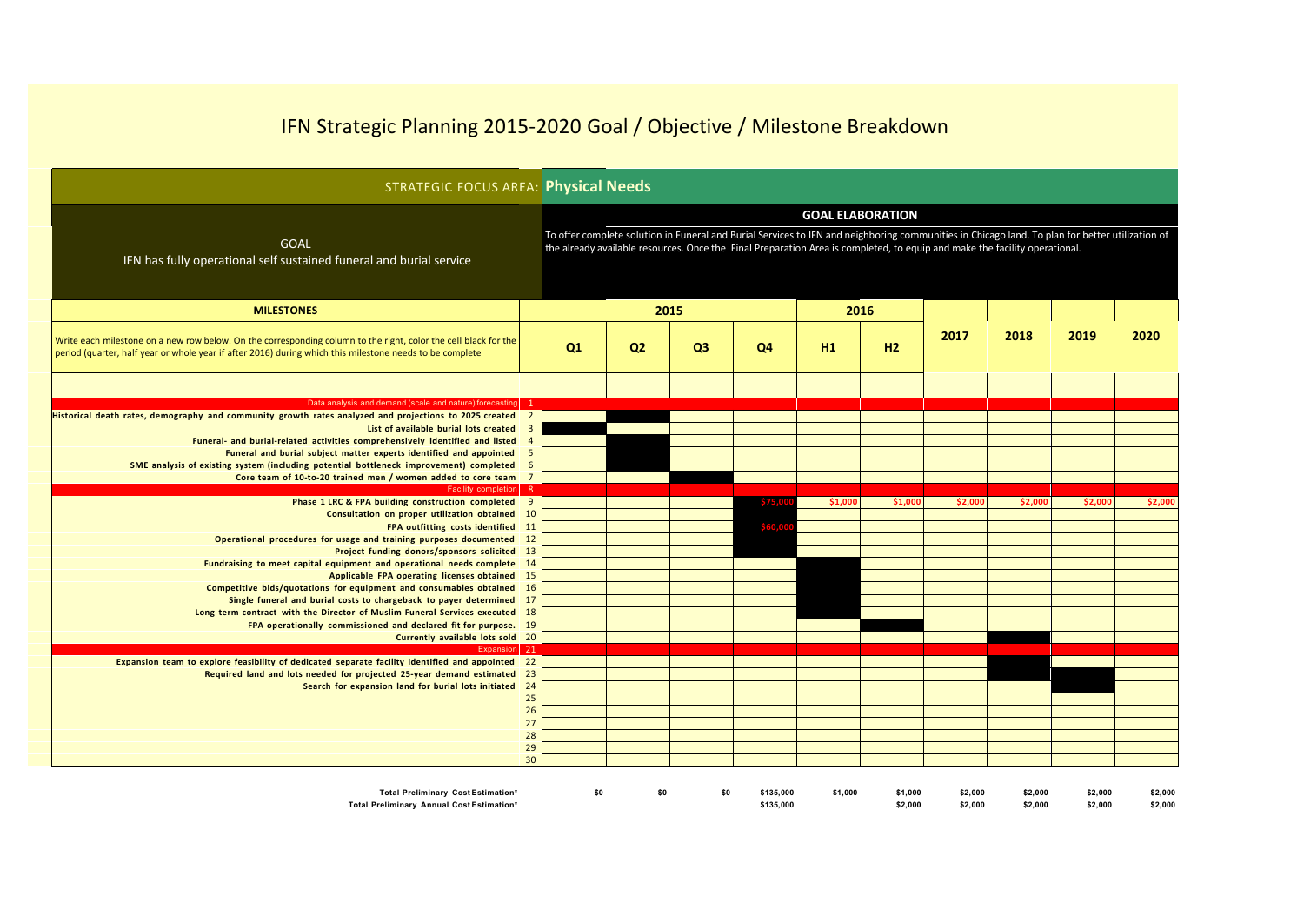| <b>STRATEGIC FOCUS AREA: Physical Needs</b>                                                                                                                                                                                                                                                                                                                                                                                                                                 |                                  |                                                                                                                                                                                                                                                                                                          |                |                |    |         |         |         |         |         |         |
|-----------------------------------------------------------------------------------------------------------------------------------------------------------------------------------------------------------------------------------------------------------------------------------------------------------------------------------------------------------------------------------------------------------------------------------------------------------------------------|----------------------------------|----------------------------------------------------------------------------------------------------------------------------------------------------------------------------------------------------------------------------------------------------------------------------------------------------------|----------------|----------------|----|---------|---------|---------|---------|---------|---------|
| <b>GOAL</b><br>IFN has fully operational self sustained funeral and burial service                                                                                                                                                                                                                                                                                                                                                                                          |                                  | <b>GOAL ELABORATION</b><br>To offer complete solution in Funeral and Burial Services to IFN and neighboring communities in Chicago land. To plan for better utilization of<br>the already available resources. Once the Final Preparation Area is completed, to equip and make the facility operational. |                |                |    |         |         |         |         |         |         |
| <b>MILESTONES</b>                                                                                                                                                                                                                                                                                                                                                                                                                                                           |                                  | 2015                                                                                                                                                                                                                                                                                                     |                |                |    | 2016    |         |         |         |         |         |
| Write each milestone on a new row below. On the corresponding column to the right, color the cell black for the<br>period (quarter, half year or whole year if after 2016) during which this milestone needs to be complete                                                                                                                                                                                                                                                 |                                  | Q1                                                                                                                                                                                                                                                                                                       | Q <sub>2</sub> | Q <sub>3</sub> | Q4 | H1      | H2      | 2017    | 2018    | 2019    | 2020    |
|                                                                                                                                                                                                                                                                                                                                                                                                                                                                             |                                  |                                                                                                                                                                                                                                                                                                          |                |                |    |         |         |         |         |         |         |
| Data analysis and demand (scale and nature) forecasting 1                                                                                                                                                                                                                                                                                                                                                                                                                   |                                  |                                                                                                                                                                                                                                                                                                          |                |                |    |         |         |         |         |         |         |
| Historical death rates, demography and community growth rates analyzed and projections to 2025 created 2<br>List of available burial lots created 3<br>Funeral- and burial-related activities comprehensively identified and listed 4<br>Funeral and burial subject matter experts identified and appointed 5<br>SME analysis of existing system (including potential bottleneck improvement) completed 6<br>Core team of 10-to-20 trained men / women added to core team 7 |                                  |                                                                                                                                                                                                                                                                                                          |                |                |    |         |         |         |         |         |         |
| Facility completion 8                                                                                                                                                                                                                                                                                                                                                                                                                                                       |                                  |                                                                                                                                                                                                                                                                                                          |                |                |    |         |         |         |         |         |         |
| Phase 1 LRC & FPA building construction completed 9<br>Consultation on proper utilization obtained 10<br>FPA outfitting costs identified 11<br>Operational procedures for usage and training purposes documented 12                                                                                                                                                                                                                                                         |                                  |                                                                                                                                                                                                                                                                                                          |                |                |    | \$1,000 | \$1,000 | \$2,000 | \$2,000 | \$2,000 | \$2,000 |
| Project funding donors/sponsors solicited 13<br>Fundraising to meet capital equipment and operational needs complete 14<br>Applicable FPA operating licenses obtained 15<br>Competitive bids/quotations for equipment and consumables obtained 16<br>Single funeral and burial costs to chargeback to payer determined 17<br>Long term contract with the Director of Muslim Funeral Services executed 18<br>FPA operationally commissioned and declared fit for purpose. 19 |                                  |                                                                                                                                                                                                                                                                                                          |                |                |    |         |         |         |         |         |         |
| Currently available lots sold 20<br>Expansion 21                                                                                                                                                                                                                                                                                                                                                                                                                            |                                  |                                                                                                                                                                                                                                                                                                          |                |                |    |         |         |         |         |         |         |
| Expansion team to explore feasibility of dedicated separate facility identified and appointed 22<br>Required land and lots needed for projected 25-year demand estimated 23<br>Search for expansion land for burial lots initiated 24                                                                                                                                                                                                                                       | 25<br>26<br>27<br>28<br>29<br>30 |                                                                                                                                                                                                                                                                                                          |                |                |    |         |         |         |         |         |         |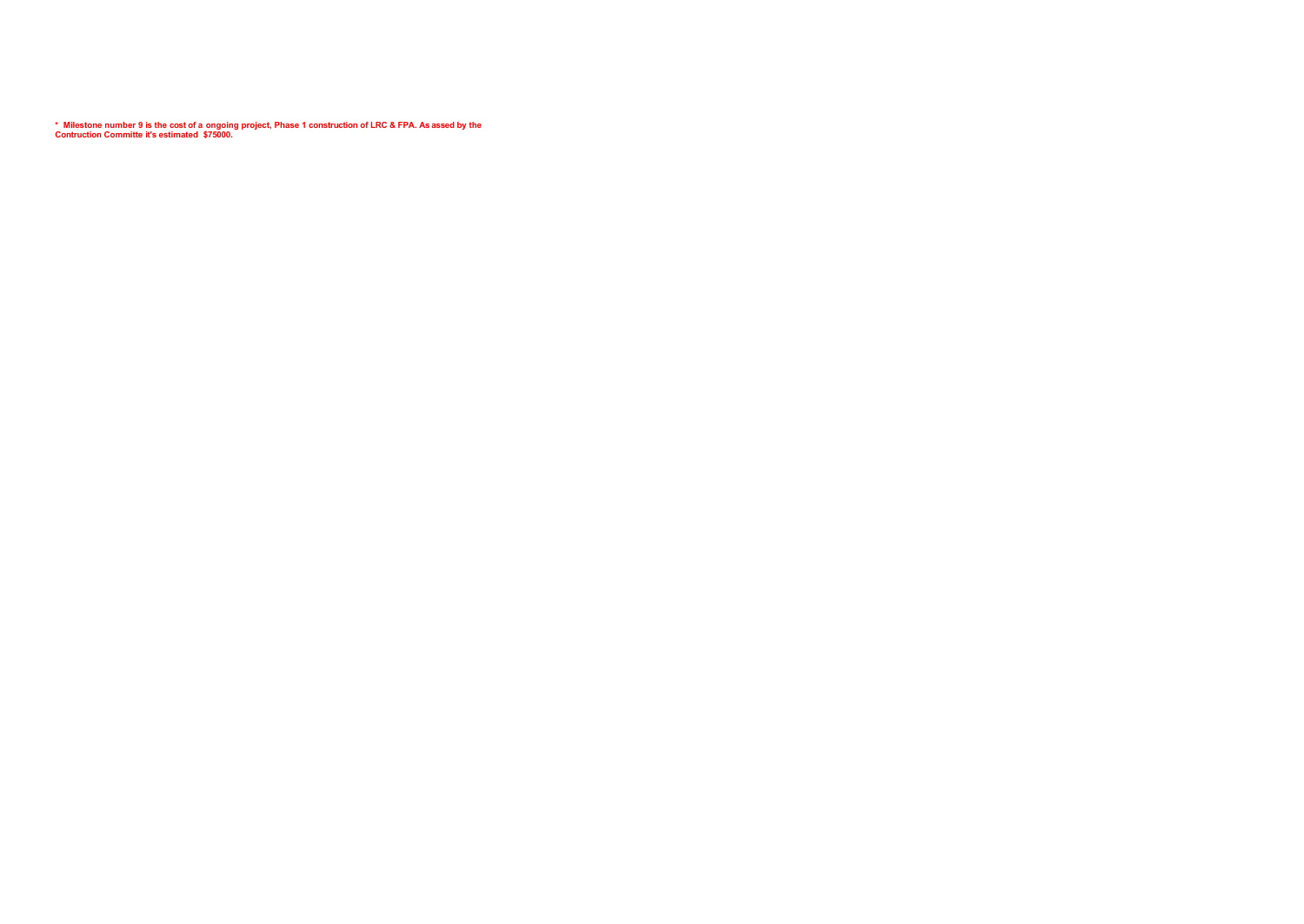\* Milestone number 9 is the cost of a ongoing project, Phase 1 construction of LRC & FPA. As assed by the<br>Contruction Committe it's estimated \$75000.